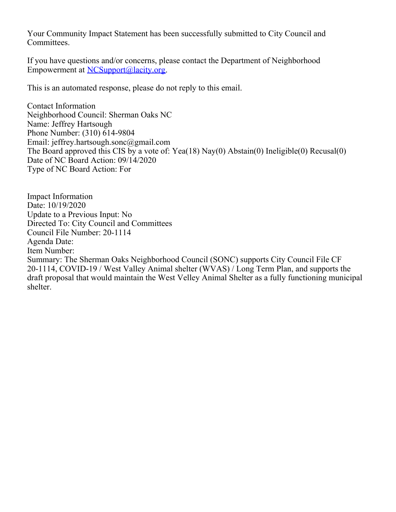Your Community Impact Statement has been successfully submitted to City Council and Committees.

If you have questions and/or concerns, please contact the Department of Neighborhood Empowerment at [NCSupport@lacity.org](mailto:NCSupport@lacity.org).

This is an automated response, please do not reply to this email.

Contact Information Neighborhood Council: Sherman Oaks NC Name: Jeffrey Hartsough Phone Number: (310) 614-9804 Email: jeffrey.hartsough.sonc@gmail.com The Board approved this CIS by a vote of: Yea(18) Nay(0) Abstain(0) Ineligible(0) Recusal(0) Date of NC Board Action: 09/14/2020 Type of NC Board Action: For

Impact Information Date: 10/19/2020 Update to a Previous Input: No Directed To: City Council and Committees Council File Number: 20-1114 Agenda Date: Item Number: Summary: The Sherman Oaks Neighborhood Council (SONC) supports City Council File CF 20-1114, COVID-19 / West Valley Animal shelter (WVAS) / Long Term Plan, and supports the draft proposal that would maintain the West Velley Animal Shelter as a fully functioning municipal shelter.